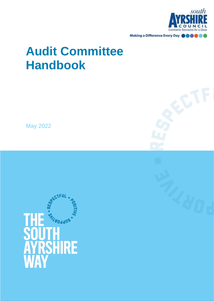

Making a Difference Every Day @@

# **Audit Committee Handbook**

May 2022

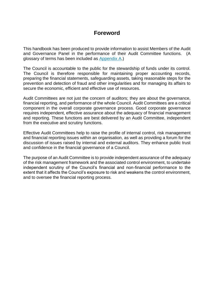# **Foreword**

This handbook has been produced to provide information to assist Members of the Audit and Governance Panel in the performance of their Audit Committee functions. (A glossary of terms has been included as [Appendix A.](#page-12-0))

The Council is accountable to the public for the stewardship of funds under its control. The Council is therefore responsible for maintaining proper accounting records, preparing the financial statements, safeguarding assets, taking reasonable steps for the prevention and detection of fraud and other irregularities and for managing its affairs to secure the economic, efficient and effective use of resources.

Audit Committees are not just the concern of auditors; they are about the governance, financial reporting, and performance of the whole Council. Audit Committees are a critical component in the overall corporate governance process. Good corporate governance requires independent, effective assurance about the adequacy of financial management and reporting. These functions are best delivered by an Audit Committee, independent from the executive and scrutiny functions.

Effective Audit Committees help to raise the profile of internal control, risk management and financial reporting issues within an organisation, as well as providing a forum for the discussion of issues raised by internal and external auditors. They enhance public trust and confidence in the financial governance of a Council.

The purpose of an Audit Committee is to provide independent assurance of the adequacy of the risk management framework and the associated control environment, to undertake independent scrutiny of the Council's financial and non-financial performance to the extent that it affects the Council's exposure to risk and weakens the control environment, and to oversee the financial reporting process.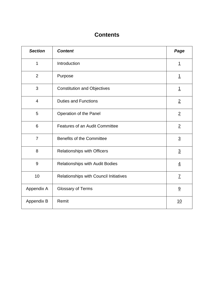# **Contents**

| <b>Section</b>  | <b>Content</b>                         | Page            |
|-----------------|----------------------------------------|-----------------|
| 1               | Introduction                           | $\overline{1}$  |
| $\overline{2}$  | Purpose                                | $\overline{1}$  |
| 3               | <b>Constitution and Objectives</b>     | <u> 1</u>       |
| $\overline{4}$  | <b>Duties and Functions</b>            | $\overline{2}$  |
| 5               | Operation of the Panel                 | $\overline{2}$  |
| $6\phantom{1}6$ | <b>Features of an Audit Committee</b>  | $\overline{2}$  |
| $\overline{7}$  | <b>Benefits of the Committee</b>       | $\underline{3}$ |
| 8               | <b>Relationships with Officers</b>     | $\overline{3}$  |
| 9               | <b>Relationships with Audit Bodies</b> | $\overline{4}$  |
| 10              | Relationships with Council Initiatives | $\overline{I}$  |
| Appendix A      | <b>Glossary of Terms</b>               | 9               |
| Appendix B      | Remit                                  | <u>10</u>       |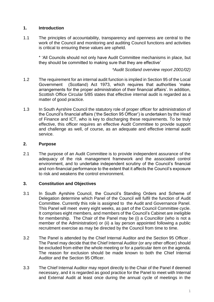### <span id="page-4-0"></span>**1. Introduction**

1.1 The principles of accountability, transparency and openness are central to the work of the Council and monitoring and auditing Council functions and activities is critical to ensuring these values are upheld.

\* 'All Councils should not only have Audit Committee mechanisms in place, but they should be committed to making sure that they are effective'

*\*Audit Scotland overview report 2001/02)* 

- 1.2 The requirement for an internal audit function is implied in Section 95 of the Local Government (Scotland) Act 1973, which requires that authorities 'make arrangements for the proper administration of their financial affairs'. In addition, Scottish Office Circular 5/85 states that effective internal audit is regarded as a matter of good practice.
- 1.3 In South Ayrshire Council the statutory role of proper officer for administration of the Council's financial affairs ('the Section 95 Officer') is undertaken by the Head of Finance and ICT, who is key to discharging these requirements. To be truly effective, this officer requires an effective Audit Committee to provide support and challenge as well, of course, as an adequate and effective internal audit service.

#### <span id="page-4-1"></span>**2. Purpose**

2.1 The purpose of an Audit Committee is to provide independent assurance of the adequacy of the risk management framework and the associated control environment, and to undertake independent scrutiny of the Council's financial and non-financial performance to the extent that it affects the Council's exposure to risk and weakens the control environment.

# <span id="page-4-2"></span>**3. Constitution and Objectives**

- 3.1 In South Ayrshire Council, the Council's Standing Orders and Scheme of Delegation determine which Panel of the Council will fulfil the function of Audit Committee. Currently this role is assigned to the Audit and Governance Panel. This Panel will meet every eight weeks, as part of the Council Committee cycle. It comprises eight members, and members of the Council's Cabinet are ineligible for membership. The Chair of the Panel may be (i) a Councillor (who is not a member of the Administration) or (ii) a lay person appointed following a public recruitment exercise as may be directed by the Council from time to time.
- 3.2 The Panel is attended by the Chief Internal Auditor and the Section 95 Officer . The Panel may decide that the Chief Internal Auditor (or any other officer) should be excluded from either the whole meeting or for a particular item on the agenda. The reason for exclusion should be made known to both the Chief Internal Auditor and the Section 95 Officer.
- 3.3 The Chief Internal Auditor may report directly to the Chair of the Panel if deemed necessary, and it is regarded as good practice for the Panel to meet with Internal and External Audit at least once during the annual cycle of meetings in the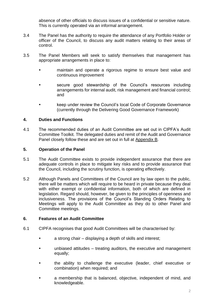absence of other officials to discuss issues of a confidential or sensitive nature. This is currently operated via an informal arrangement.

- 3.4 The Panel has the authority to require the attendance of any Portfolio Holder or officer of the Council, to discuss any audit matters relating to their areas of control.
- 3.5 The Panel Members will seek to satisfy themselves that management has appropriate arrangements in place to:
	- maintain and operate a rigorous regime to ensure best value and continuous improvement
	- secure good stewardship of the Council's resources including arrangements for internal audit, risk management and financial control; and
	- keep under review the Council's local Code of Corporate Governance (currently through the Delivering Good Governance Framework)

# <span id="page-5-0"></span>**4. Duties and Functions**

4.1 The recommended duties of an Audit Committee are set out in CIPFA's Audit Committee Toolkit. The delegated duties and remit of the Audit and Governance Panel closely follow these and are set out in full at [Appendix B.](#page-13-0)

# <span id="page-5-1"></span>**5. Operation of the Panel**

- 5.1 The Audit Committee exists to provide independent assurance that there are adequate controls in place to mitigate key risks and to provide assurance that the Council, including the scrutiny function, is operating effectively.
- 5.2 Although Panels and Committees of the Council are by law open to the public, there will be matters which will require to be heard in private because they deal with either exempt or confidential information, both of which are defined in legislation. Regard should, however, be given to the principles of openness and inclusiveness. The provisions of the Council's Standing Orders Relating to Meetings will apply to the Audit Committee as they do to other Panel and Committee meetings.

# <span id="page-5-2"></span>**6. Features of an Audit Committee**

- 6.1 CIPFA recognises that good Audit Committees will be characterised by:
	- a strong chair displaying a depth of skills and interest;
	- unbiased attitudes treating auditors, the executive and management equally;
	- the ability to challenge the executive (leader, chief executive or combination) when required; and
	- a membership that is balanced, objective, independent of mind, and knowledgeable.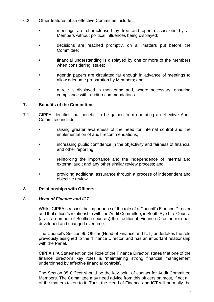- 6.2 Other features of an effective Committee include:
	- meetings are characterised by free and open discussions by all Members without political influences being displayed;
	- decisions are reached promptly, on all matters put before the Committee;
	- financial understanding is displayed by one or more of the Members when considering issues;
	- agenda papers are circulated far enough in advance of meetings to allow adequate preparation by Members; and
	- a role is displayed in monitoring and, where necessary, ensuring compliance with, audit recommendations.

# <span id="page-6-0"></span>**7. Benefits of the Committee**

- 7.1 CIPFA identifies that benefits to be gained from operating an effective Audit Committee include:
	- raising greater awareness of the need for internal control and the implementation of audit recommendations;
	- increasing public confidence in the objectivity and fairness of financial and other reporting;
	- reinforcing the importance and the independence of internal and external audit and any other similar review process; and
	- providing additional assurance through a process of independent and objective review.

# <span id="page-6-1"></span>**8. Relationships with Officers**

#### 8.1 *Head of Finance and ICT*

Whilst CIPFA stresses the importance of the role of a Council's Finance Director and that officer's relationship with the Audit Committee, in South Ayrshire Council (as in a number of Scottish councils) the traditional 'Finance Director' role has developed and changed over time.

The Council's Section 95 Officer (Head of Finance and ICT) undertakes the role previously assigned to the 'Finance Director' and has an important relationship with the Panel.

CIPFA's 'A Statement on the Role of the Finance Director' states that one of the finance director's key roles is 'maintaining strong financial management underpinned by effective financial controls'.

The Section 95 Officer should be the key point of contact for Audit Committee Members. The Committee may need advice from this officers on most, if not all, of the matters taken to it. Thus, the Head of Finance and ICT will normally be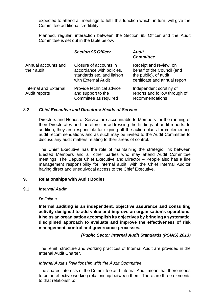expected to attend all meetings to fulfil this function which, in turn, will give the Committee additional credibility.

Planned, regular, interaction between the Section 95 Officer and the Audit Committee is set out in the table below.

|                                        | <b>Section 95 Officer</b>                                                                                | <b>Audit</b><br><b>Committee</b>                                                                               |
|----------------------------------------|----------------------------------------------------------------------------------------------------------|----------------------------------------------------------------------------------------------------------------|
| Annual accounts and<br>their audit     | Closure of accounts in<br>accordance with policies,<br>standards etc, and liaison<br>with External Audit | Receipt and review, on<br>behalf of the Council (and<br>the public), of audit<br>certificate and annual report |
| Internal and External<br>Audit reports | Provide technical advice<br>and support to the<br>Committee as required                                  | Independent scrutiny of<br>reports and follow through of<br>recommendations                                    |

#### 8.2 *Chief Executive and Directors/ Heads of Service*

Directors and Heads of Service are accountable to Members for the running of their Directorates and therefore for addressing the findings of audit reports. In addition, they are responsible for signing off the action plans for implementing audit recommendations and as such may be invited to the Audit Committee to discuss any audit matters relating to their areas of control.

The Chief Executive has the role of maintaining the strategic link between Elected Members and all other parties who may attend Audit Committee meetings. The Depute Chief Executive and Director – People also has a line management responsibility for internal audit, with the Chief Internal Auditor having direct and unequivocal access to the Chief Executive.

#### <span id="page-7-0"></span>**9. Relationships with Audit Bodies**

#### 9.1 *Internal Audit*

#### *Definition*

**Internal auditing is an independent, objective assurance and consulting activity designed to add value and improve an organisation's operations. It helps an organisation accomplish its objectives by bringing a systematic, disciplined approach to evaluate and improve the effectiveness of risk management, control and governance processes.**

#### *(Public Sector Internal Audit Standards (PSIAS) 2013)*

The remit, structure and working practices of Internal Audit are provided in the Internal Audit Charter.

#### *Internal Audit's Relationship with the Audit Committee*

The shared interests of the Committee and Internal Audit mean that there needs to be an effective working relationship between them. There are three elements to that relationship: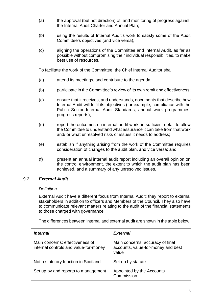- (a) the approval (but not direction) of, and monitoring of progress against, the Internal Audit Charter and Annual Plan;
- (b) using the results of Internal Audit's work to satisfy some of the Audit Committee's objectives (and vice versa);
- (c) aligning the operations of the Committee and Internal Audit, as far as possible without compromising their individual responsibilities, to make best use of resources.

To facilitate the work of the Committee, the Chief Internal Auditor shall:

- (a) attend its meetings, and contribute to the agenda;
- (b) participate in the Committee's review of its own remit and effectiveness;
- (c) ensure that it receives, and understands, documents that describe how Internal Audit will fulfil its objectives (for example, compliance with the Public Sector Internal Audit Standards, annual work programmes, progress reports);
- (d) report the outcomes on internal audit work, in sufficient detail to allow the Committee to understand what assurance it can take from that work and/ or what unresolved risks or issues it needs to address;
- (e) establish if anything arising from the work of the Committee requires consideration of changes to the audit plan, and vice versa; and
- (f) present an annual internal audit report including an overall opinion on the control environment, the extent to which the audit plan has been achieved, and a summary of any unresolved issues.

# 9.2 *External Audit*

#### *Definition*

External Audit have a different focus from Internal Audit; they report to external stakeholders in addition to officers and Members of the Council. They also have to communicate relevant matters relating to the audit of the financial statements to those charged with governance.

The differences between internal and external audit are shown in the table below.

| <i>Internal</i>                                                          | <b>External</b>                                                                 |
|--------------------------------------------------------------------------|---------------------------------------------------------------------------------|
| Main concerns: effectiveness of<br>internal controls and value-for-money | Main concerns: accuracy of final<br>accounts, value-for-money and best<br>value |
| Not a statutory function in Scotland                                     | Set up by statute                                                               |
| Set up by and reports to management                                      | Appointed by the Accounts<br>Commission                                         |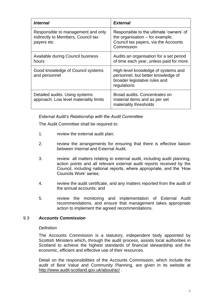| <i>Internal</i>                                                                        | <b>External</b>                                                                                                                    |
|----------------------------------------------------------------------------------------|------------------------------------------------------------------------------------------------------------------------------------|
| Responsible to management and only<br>indirectly to Members, Council tax<br>payers etc | Responsible to the ultimate 'owners' of<br>the organisation $-$ for example,<br>Council tax payers, via the Accounts<br>Commission |
| Available during Council business<br>hours                                             | Audits an organisation for a set period<br>of time each year, unless paid for more                                                 |
| Good knowledge of Council systems<br>and personnel                                     | High-level knowledge of systems and<br>personnel, but better knowledge of<br>broader legislative rules and<br>regulations          |
| Detailed audits. Using systems<br>approach. Low level materiality limits               | Broad audits. Concentrates on<br>material items and as per set<br>materiality thresholds                                           |

#### *External Audit's Relationship with the Audit Committee*

The Audit Committee shall be required to:

- 1. review the external audit plan;
- 2. review the arrangements for ensuring that there is effective liaison between Internal and External Audit;
- 3. review all matters relating to external audit, including audit planning, action points and all relevant external audit reports received by the Council, including national reports, where appropriate, and the 'How Councils Work' series;
- 4. review the audit certificate, and any matters reported from the audit of the annual accounts; and
- 5. review the monitoring and implementation of External Audit recommendations, and ensure that management takes appropriate action to implement the agreed recommendations.

#### 9.3 *Accounts Commission*

#### *Definition*

The Accounts Commission is a statutory, independent body appointed by Scottish Ministers which, through the audit process, assists local authorities in Scotland to achieve the highest standards of financial stewardship and the economic, efficient and effective use of their resources.

Detail on the responsibilities of the Accounts Commission, which include the audit of Best Value and Community Planning, are given in its website at <http://www.audit-scotland.gov.uk/about/ac/> .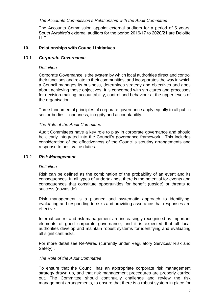#### *The Accounts Commission's Relationship with the Audit Committee*

The Accounts Commission appoint external auditors for a period of 5 years. South Ayrshire's external auditors for the period 2016/17 to 2020/21 are Deloitte LLP.

#### <span id="page-10-0"></span>**10. Relationships with Council Initiatives**

#### 10.1 *Corporate Governance*

#### *Definition*

Corporate Governance is the system by which local authorities direct and control their functions and relate to their communities, and incorporates the way in which a Council manages its business, determines strategy and objectives and goes about achieving those objectives. It is concerned with structures and processes for decision-making, accountability, control and behaviour at the upper levels of the organisation.

Three fundamental principles of corporate governance apply equally to all public sector bodies – openness, integrity and accountability.

#### *The Role of the Audit Committee*

Audit Committees have a key role to play in corporate governance and should be clearly integrated into the Council's governance framework. This includes consideration of the effectiveness of the Council's scrutiny arrangements and response to best value duties.

#### 10.2 *Risk Management*

#### *Definition*

Risk can be defined as the combination of the probability of an event and its consequences. In all types of undertakings, there is the potential for events and consequences that constitute opportunities for benefit (upside) or threats to success (downside).

Risk management is a planned and systematic approach to identifying, evaluating and responding to risks and providing assurance that responses are effective.

Internal control and risk management are increasingly recognised as important elements of good corporate governance, and it is expected that all local authorities develop and maintain robust systems for identifying and evaluating all significant risks.

For more detail see Re-Wired (currently under Regulatory Services/ Risk and Safety) .

#### *The Role of the Audit Committee*

To ensure that the Council has an appropriate corporate risk management strategy drawn up, and that risk management procedures are properly carried out. The Committee should continually challenge and review the risk management arrangements, to ensure that there is a robust system in place for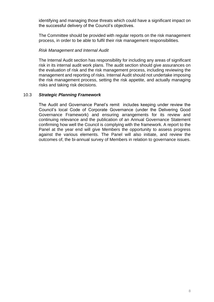identifying and managing those threats which could have a significant impact on the successful delivery of the Council's objectives.

The Committee should be provided with regular reports on the risk management process, in order to be able to fulfil their risk management responsibilities.

#### *Risk Management and Internal Audit*

The Internal Audit section has responsibility for including any areas of significant risk in its internal audit work plans. The audit section should give assurances on the evaluation of risk and the risk management process, including reviewing the management and reporting of risks. Internal Audit should not undertake imposing the risk management process, setting the risk appetite, and actually managing risks and taking risk decisions.

#### 10.3 *Strategic Planning Framework*

The Audit and Governance Panel's remit includes keeping under review the Council's local Code of Corporate Governance (under the Delivering Good Governance Framework) and ensuring arrangements for its review and continuing relevance and the publication of an Annual Governance Statement confirming how well the Council is complying with the framework. A report to the Panel at the year end will give Members the opportunity to assess progress against the various elements. The Panel will also initiate, and review the outcomes of, the bi-annual survey of Members in relation to governance issues.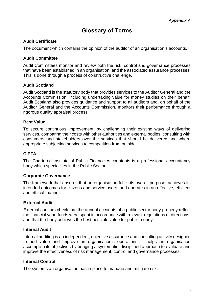# **Glossary of Terms**

# <span id="page-12-0"></span>**Audit Certificate**

The document which contains the opinion of the auditor of an organisation's accounts.

# **Audit Committee**

Audit Committees monitor and review both the risk, control and governance processes that have been established in an organisation, and the associated assurance processes. This is done through a process of constructive challenge.

# **Audit Scotland**

Audit Scotland is the statutory body that provides services to the Auditor General and the Accounts Commission, including undertaking value for money studies on their behalf. Audit Scotland also provides guidance and support to all auditors and, on behalf of the Auditor General and the Accounts Commission, monitors their performance through a rigorous quality appraisal process.

# **Best Value**

To secure continuous improvement, by challenging their existing ways of delivering services, comparing their costs with other authorities and external bodies, consulting with consumers and stakeholders over the services that should be delivered and where appropriate subjecting services to competition from outside.

# **CIPFA**

The Chartered Institute of Public Finance Accountants is a professional accountancy body which specialises in the Public Sector.

# **Corporate Governance**

The framework that ensures that an organisation fulfils its overall purpose, achieves its intended outcomes for citizens and service users, and operates in an effective, efficient and ethical manner.

# **External Audit**

External auditors check that the annual accounts of a public sector body properly reflect the financial year, funds were spent in accordance with relevant regulations or directions, and that the body achieves the best possible value for public money.

# **Internal Audit**

Internal auditing is an independent, objective assurance and consulting activity designed to add value and improve an organisation's operations. It helps an organisation accomplish its objectives by bringing a systematic, disciplined approach to evaluate and improve the effectiveness of risk management, control and governance processes.

# **Internal Control**

The systems an organisation has in place to manage and mitigate risk.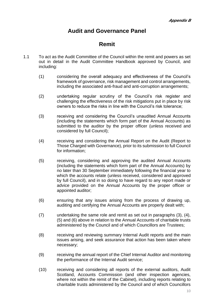# **Audit and Governance Panel**

# **Remit**

- <span id="page-13-0"></span>1.1 To act as the Audit Committee of the Council within the remit and powers as set out in detail in the Audit Committee Handbook approved by Council, and including:
	- (1) considering the overall adequacy and effectiveness of the Council's framework of governance, risk management and control arrangements, including the associated anti-fraud and anti-corruption arrangements;
	- (2) undertaking regular scrutiny of the Council's risk register and challenging the effectiveness of the risk mitigations put in place by risk owners to reduce the risks in line with the Council's risk tolerance;
	- (3) receiving and considering the Council's unaudited Annual Accounts (including the statements which form part of the Annual Accounts) as submitted to the auditor by the proper officer (unless received and considered by full Council);
	- (4) receiving and considering the Annual Report on the Audit (Report to Those Charged with Governance), prior to its submission to full Council for information;
	- (5) receiving, considering and approving the audited Annual Accounts (including the statements which form part of the Annual Accounts) by no later than 30 September immediately following the financial year to which the accounts relate (unless received, considered and approved by full Council), and in so doing to have regard to any report made or advice provided on the Annual Accounts by the proper officer or appointed auditor;
	- (6) ensuring that any issues arising from the process of drawing up, auditing and certifying the Annual Accounts are properly dealt with;
	- (7) undertaking the same role and remit as set out in paragraphs (3), (4), (5) and (6) above in relation to the Annual Accounts of charitable trusts administered by the Council and of which Councillors are Trustees;
	- (8) receiving and reviewing summary Internal Audit reports and the main issues arising, and seek assurance that action has been taken where necessary;
	- (9) receiving the annual report of the Chief Internal Auditor and monitoring the performance of the Internal Audit service;
	- (10) receiving and considering all reports of the external auditors, Audit Scotland, Accounts Commission (and other inspection agencies, where not within the remit of the Cabinet), including reports relating to charitable trusts administered by the Council and of which Councillors